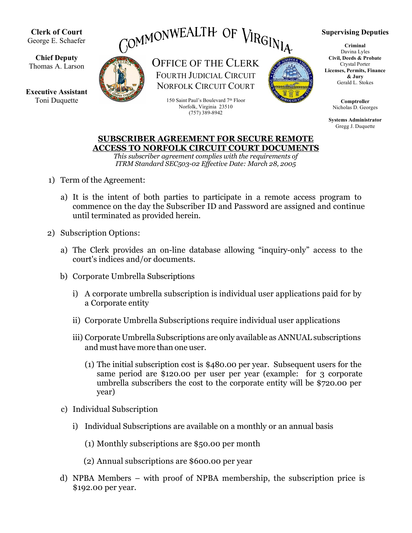

**SUBSCRIBER AGREEMENT FOR SECURE REMOTE ACCESS TO NORFOLK CIRCUIT COURT DOCUMENTS** 

*This subscriber agreement complies with the requirements of ITRM Standard SEC503-02 Effective Date: March 28, 2005* 

- 1) Term of the Agreement:
	- a) It is the intent of both parties to participate in a remote access program to commence on the day the Subscriber ID and Password are assigned and continue until terminated as provided herein.
- 2) Subscription Options:
	- a) The Clerk provides an on-line database allowing "inquiry-only" access to the court's indices and/or documents.
	- b) Corporate Umbrella Subscriptions
		- i) A corporate umbrella subscription is individual user applications paid for by a Corporate entity
		- ii) Corporate Umbrella Subscriptions require individual user applications
		- iii) Corporate Umbrella Subscriptions are only available as ANNUAL subscriptions and must have more than one user.
			- (1) The initial subscription cost is \$480.00 per year. Subsequent users for the same period are \$120.00 per user per year (example: for 3 corporate umbrella subscribers the cost to the corporate entity will be \$720.00 per year)
	- c) Individual Subscription
		- i) Individual Subscriptions are available on a monthly or an annual basis
			- (1) Monthly subscriptions are \$50.00 per month
			- (2) Annual subscriptions are \$600.00 per year
	- d) NPBA Members with proof of NPBA membership, the subscription price is \$192.00 per year.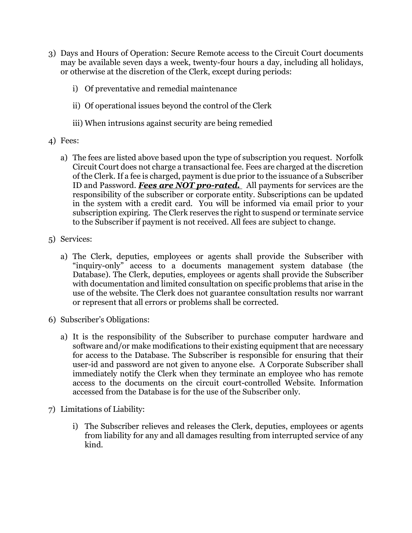- 3) Days and Hours of Operation: Secure Remote access to the Circuit Court documents may be available seven days a week, twenty-four hours a day, including all holidays, or otherwise at the discretion of the Clerk, except during periods:
	- i) Of preventative and remedial maintenance
	- ii) Of operational issues beyond the control of the Clerk
	- iii) When intrusions against security are being remedied
- 4) Fees:
	- a) The fees are listed above based upon the type of subscription you request. Norfolk Circuit Court does not charge a transactional fee. Fees are charged at the discretion of the Clerk. If a fee is charged, payment is due prior to the issuance of a Subscriber ID and Password. *Fees are NOT pro-rated.* All payments for services are the responsibility of the subscriber or corporate entity. Subscriptions can be updated in the system with a credit card. You will be informed via email prior to your subscription expiring. The Clerk reserves the right to suspend or terminate service to the Subscriber if payment is not received. All fees are subject to change.
- 5) Services:
	- a) The Clerk, deputies, employees or agents shall provide the Subscriber with "inquiry-only" access to a documents management system database (the Database). The Clerk, deputies, employees or agents shall provide the Subscriber with documentation and limited consultation on specific problems that arise in the use of the website. The Clerk does not guarantee consultation results nor warrant or represent that all errors or problems shall be corrected.
- 6) Subscriber's Obligations:
	- a) It is the responsibility of the Subscriber to purchase computer hardware and software and/or make modifications to their existing equipment that are necessary for access to the Database. The Subscriber is responsible for ensuring that their user-id and password are not given to anyone else. A Corporate Subscriber shall immediately notify the Clerk when they terminate an employee who has remote access to the documents on the circuit court-controlled Website. Information accessed from the Database is for the use of the Subscriber only.
- 7) Limitations of Liability:
	- i) The Subscriber relieves and releases the Clerk, deputies, employees or agents from liability for any and all damages resulting from interrupted service of any kind.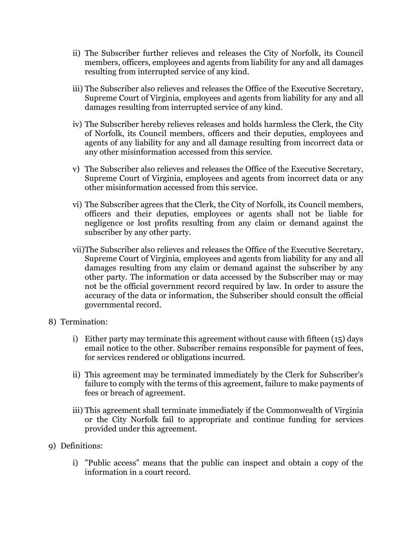- ii) The Subscriber further relieves and releases the City of Norfolk, its Council members, officers, employees and agents from liability for any and all damages resulting from interrupted service of any kind.
- iii) The Subscriber also relieves and releases the Office of the Executive Secretary, Supreme Court of Virginia, employees and agents from liability for any and all damages resulting from interrupted service of any kind.
- iv) The Subscriber hereby relieves releases and holds harmless the Clerk, the City of Norfolk, its Council members, officers and their deputies, employees and agents of any liability for any and all damage resulting from incorrect data or any other misinformation accessed from this service.
- v) The Subscriber also relieves and releases the Office of the Executive Secretary, Supreme Court of Virginia, employees and agents from incorrect data or any other misinformation accessed from this service.
- vi) The Subscriber agrees that the Clerk, the City of Norfolk, its Council members, officers and their deputies, employees or agents shall not be liable for negligence or lost profits resulting from any claim or demand against the subscriber by any other party.
- vii)The Subscriber also relieves and releases the Office of the Executive Secretary, Supreme Court of Virginia, employees and agents from liability for any and all damages resulting from any claim or demand against the subscriber by any other party. The information or data accessed by the Subscriber may or may not be the official government record required by law. In order to assure the accuracy of the data or information, the Subscriber should consult the official governmental record.
- 8) Termination:
	- i) Either party may terminate this agreement without cause with fifteen (15) days email notice to the other. Subscriber remains responsible for payment of fees, for services rendered or obligations incurred.
	- ii) This agreement may be terminated immediately by the Clerk for Subscriber's failure to comply with the terms of this agreement, failure to make payments of fees or breach of agreement.
	- iii) This agreement shall terminate immediately if the Commonwealth of Virginia or the City Norfolk fail to appropriate and continue funding for services provided under this agreement.
- 9) Definitions:
	- i) "Public access" means that the public can inspect and obtain a copy of the information in a court record.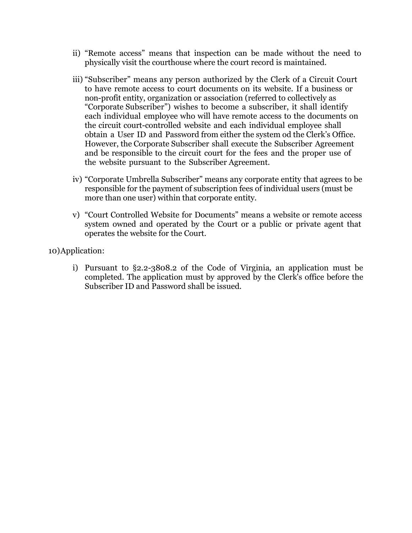- ii) "Remote access" means that inspection can be made without the need to physically visit the courthouse where the court record is maintained.
- iii) "Subscriber" means any person authorized by the Clerk of a Circuit Court to have remote access to court documents on its website. If a business or non-profit entity, organization or association (referred to collectively as "Corporate Subscriber") wishes to become a subscriber, it shall identify each individual employee who will have remote access to the documents on the circuit court-controlled website and each individual employee shall obtain a User ID and Password from either the system od the Clerk's Office. However, the Corporate Subscriber shall execute the Subscriber Agreement and be responsible to the circuit court for the fees and the proper use of the website pursuant to the Subscriber Agreement.
- iv) "Corporate Umbrella Subscriber" means any corporate entity that agrees to be responsible for the payment of subscription fees of individual users (must be more than one user) within that corporate entity.
- v) "Court Controlled Website for Documents" means a website or remote access system owned and operated by the Court or a public or private agent that operates the website for the Court.

10)Application:

i) Pursuant to §2.2-3808.2 of the Code of Virginia, an application must be completed. The application must by approved by the Clerk's office before the Subscriber ID and Password shall be issued.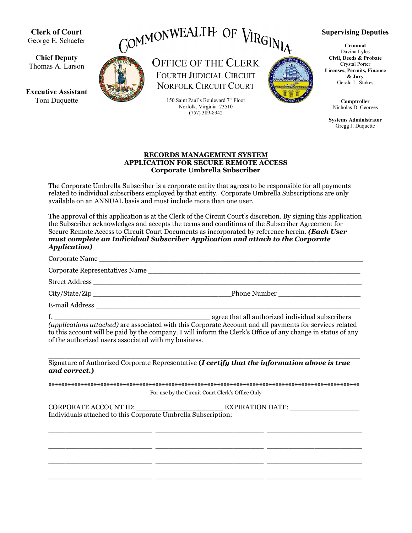**Clerk of Court** George E. Schaefer

**Chief Deputy** Thomas A. Larson

**Executive Assistant** Toni Duquette



OFFICE OF THE CLERK FOURTH JUDICIAL CIRCUIT NORFOLK CIRCUIT COURT

> 150 Saint Paul's Boulevard 7th Floor Norfolk, Virginia 23510 (757) 389-8942



**Supervising Deputies**

**Criminal** Davina Lyles **Civil, Deeds & Probate** Crystal Porter **Licenses, Permits, Finance & Jury** Gerald L. Stokes

> **Comptroller** Nicholas D. Georges

**Systems Administrator** Gregg J. Duquette

## **RECORDS MANAGEMENT SYSTEM APPLICATION FOR SECURE REMOTE ACCESS Corporate Umbrella Subscriber**

The Corporate Umbrella Subscriber is a corporate entity that agrees to be responsible for all payments related to individual subscribers employed by that entity. Corporate Umbrella Subscriptions are only available on an ANNUAL basis and must include more than one user.

The approval of this application is at the Clerk of the Circuit Court's discretion. By signing this application the Subscriber acknowledges and accepts the terms and conditions of the Subscriber Agreement for Secure Remote Access to Circuit Court Documents as incorporated by reference herein. *(Each User must complete an Individual Subscriber Application and attach to the Corporate Application)*

Corporate Name \_\_\_\_\_\_\_\_\_\_\_\_\_\_\_\_\_\_\_\_\_\_\_\_\_\_\_\_\_\_\_\_\_\_\_\_\_\_\_\_\_\_\_\_\_\_\_\_\_\_\_\_\_\_\_\_\_\_\_\_\_

Corporate Representatives Name \_\_\_\_\_\_\_\_\_\_\_\_\_\_\_\_\_\_\_\_\_\_\_\_\_\_\_\_\_\_\_\_\_\_\_\_\_\_\_\_\_\_\_\_\_\_\_\_\_

Street Address \_\_\_\_\_\_\_\_\_\_\_\_\_\_\_\_\_\_\_\_\_\_\_\_\_\_\_\_\_\_\_\_\_\_\_\_\_\_\_\_\_\_\_\_\_\_\_\_\_\_\_\_\_\_\_\_\_\_\_\_\_\_

City/State/Zip \_\_\_\_\_\_\_\_\_\_\_\_\_\_\_\_\_\_\_\_\_\_\_\_\_\_\_\_\_\_\_\_Phone Number \_\_\_\_\_\_\_\_\_\_\_\_\_\_\_\_\_\_\_

E-mail Address

I, \_\_\_\_\_\_\_\_\_\_\_\_\_\_\_\_\_\_\_\_\_\_\_\_\_\_\_\_\_\_\_\_\_\_\_\_ agree that all authorized individual subscribers

*(applications attached)* are associated with this Corporate Account and all payments for services related to this account will be paid by the company. I will inform the Clerk's Office of any change in status of any of the authorized users associated with my business.

 $\overline{\phantom{a}}$  ,  $\overline{\phantom{a}}$  ,  $\overline{\phantom{a}}$  ,  $\overline{\phantom{a}}$  ,  $\overline{\phantom{a}}$  ,  $\overline{\phantom{a}}$  ,  $\overline{\phantom{a}}$  ,  $\overline{\phantom{a}}$  ,  $\overline{\phantom{a}}$  ,  $\overline{\phantom{a}}$  ,  $\overline{\phantom{a}}$  ,  $\overline{\phantom{a}}$  ,  $\overline{\phantom{a}}$  ,  $\overline{\phantom{a}}$  ,  $\overline{\phantom{a}}$  ,  $\overline{\phantom{a}}$ Signature of Authorized Corporate Representative **(***I certify that the information above is true and correct.***)**

**\*\*\*\*\*\*\*\*\*\*\*\*\*\*\*\*\*\*\*\*\*\*\*\*\*\*\*\*\*\*\*\*\*\*\*\*\*\*\*\*\*\*\*\*\*\*\*\*\*\*\*\*\*\*\*\*\*\*\*\*\*\*\*\*\*\*\*\*\*\*\*\*\*\*\*\*\*\*\*\*\*\*\*\*\*\*\*\*\*\*\*\*\*\*\*\*** For use by the Circuit Court Clerk's Office Only

\_\_\_\_\_\_\_\_\_\_\_\_\_\_\_\_\_\_\_\_\_\_\_\_ \_\_\_\_\_\_\_\_\_\_\_\_\_\_\_\_\_\_\_\_\_\_\_\_\_ \_\_\_\_\_\_\_\_\_\_\_\_\_\_\_\_\_\_\_\_\_\_

\_\_\_\_\_\_\_\_\_\_\_\_\_\_\_\_\_\_\_\_\_\_\_\_ \_\_\_\_\_\_\_\_\_\_\_\_\_\_\_\_\_\_\_\_\_\_\_\_\_ \_\_\_\_\_\_\_\_\_\_\_\_\_\_\_\_\_\_\_\_\_\_

\_\_\_\_\_\_\_\_\_\_\_\_\_\_\_\_\_\_\_\_\_\_\_\_ \_\_\_\_\_\_\_\_\_\_\_\_\_\_\_\_\_\_\_\_\_\_\_\_\_ \_\_\_\_\_\_\_\_\_\_\_\_\_\_\_\_\_\_\_\_\_\_

\_\_\_\_\_\_\_\_\_\_\_\_\_\_\_\_\_\_\_\_\_\_\_\_ \_\_\_\_\_\_\_\_\_\_\_\_\_\_\_\_\_\_\_\_\_\_\_\_\_ \_\_\_\_\_\_\_\_\_\_\_\_\_\_\_\_\_\_\_\_\_\_

CORPORATE ACCOUNT ID: \_\_\_\_\_\_\_\_\_\_\_\_\_\_\_\_\_\_\_\_ EXPIRATION DATE: \_\_\_\_\_\_\_\_\_\_\_\_\_\_\_\_ Individuals attached to this Corporate Umbrella Subscription: